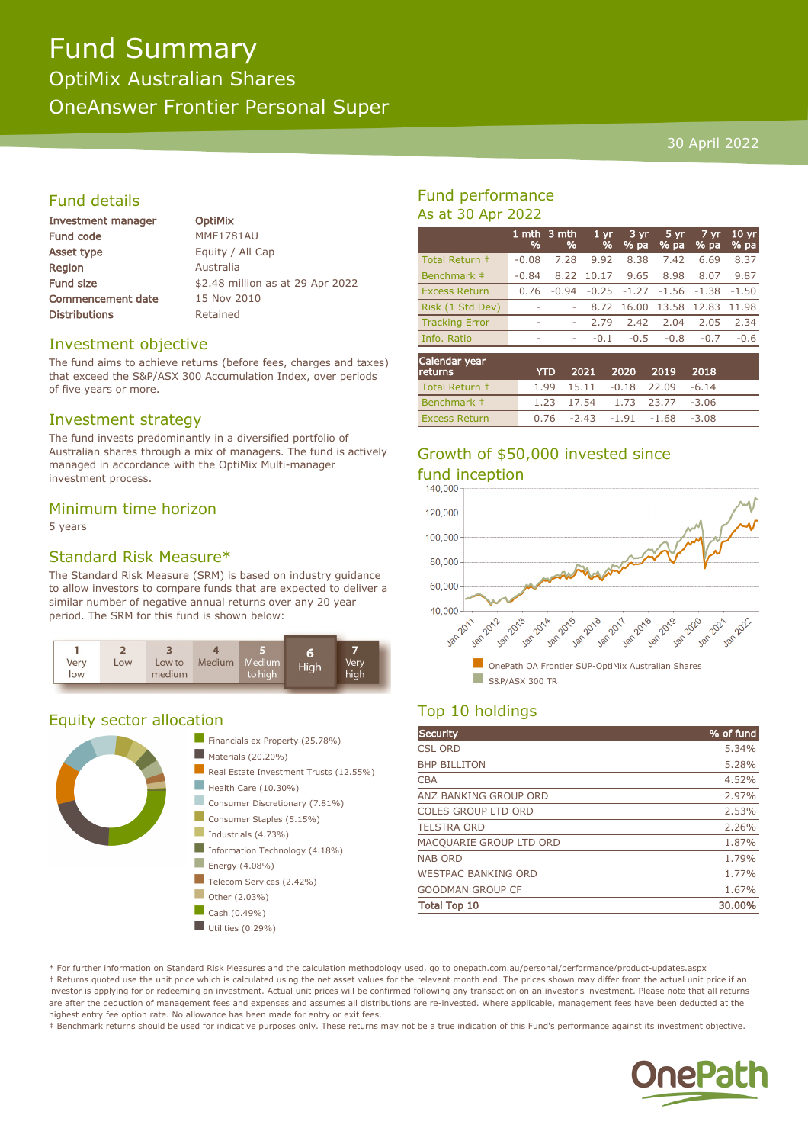# Fund Summary OptiMix Australian Shares OneAnswer Frontier Personal Super

### 30 April 2022

# Fund details

| Investment manager       |  |  |  |
|--------------------------|--|--|--|
| <b>Fund code</b>         |  |  |  |
| <b>Asset type</b>        |  |  |  |
| Region                   |  |  |  |
| <b>Fund size</b>         |  |  |  |
| <b>Commencement date</b> |  |  |  |
| <b>Distributions</b>     |  |  |  |

**OptiMix MMF1781AU** Equity / All Cap **Australia** \$2.48 million as at 29 Apr 2022 15 Nov 2010 Retained

### Investment objective

The fund aims to achieve returns (before fees, charges and taxes) that exceed the S&P/ASX 300 Accumulation Index, over periods of five years or more.

# Investment strategy

The fund invests predominantly in a diversified portfolio of Australian shares through a mix of managers. The fund is actively managed in accordance with the OptiMix Multi-manager investment process.

### Minimum time horizon

5 years

# Standard Risk Measure\*

The Standard Risk Measure (SRM) is based on industry guidance to allow investors to compare funds that are expected to deliver a similar number of negative annual returns over any 20 year period. The SRM for this fund is shown below:



# Equity sector allocation



# Fund performance As at 30 Apr 2022

|                              | %       | 1 mth $3$ mth<br>% | 1 <sub>vr</sub><br>$\frac{9}{6}$ | 3 yr<br>% pa | 5 yr<br>% pa | 7 yr<br>$\sqrt{96}$ pa | $10 \text{ yr}$<br>% pa |
|------------------------------|---------|--------------------|----------------------------------|--------------|--------------|------------------------|-------------------------|
| Total Return +               | $-0.08$ | 7.28               | 9.92                             | 8.38         | 7.42         | 6.69                   | 8.37                    |
| Benchmark ‡                  | $-0.84$ | 8.22               | 10.17                            | 9.65         | 8.98         | 8.07                   | 9.87                    |
| <b>Excess Return</b>         | 0.76    | $-0.94$            | $-0.25$                          | $-1.27$      |              | $-1.56 - 1.38$         | $-1.50$                 |
| Risk (1 Std Dev)             | ۰       |                    | 8.72                             | 16.00        | 13.58        | 12.83                  | 11.98                   |
| <b>Tracking Error</b>        | -       |                    | 2.79                             | 2.42         | 2.04         | 2.05                   | 2.34                    |
| Info. Ratio                  | ۰       | ۰                  | $-0.1$                           | $-0.5$       | $-0.8$       | $-0.7$                 | $-0.6$                  |
| What have also associate the |         |                    |                                  |              |              |                        |                         |
|                              |         |                    |                                  |              |              |                        |                         |

| Calendar year<br>returns |  | YTD 2021 2020 2019 2018                |  |
|--------------------------|--|----------------------------------------|--|
| Total Return +           |  | $1.99$ $15.11$ $-0.18$ $22.09$ $-6.14$ |  |
| Benchmark #              |  | 1.23 17.54 1.73 23.77 -3.06            |  |
| <b>Excess Return</b>     |  | $0.76 -2.43 -1.91 -1.68 -3.08$         |  |

# Growth of \$50,000 invested since fund inception<br>140.000



# Top 10 holdings

| Security                   | % of fund |
|----------------------------|-----------|
| <b>CSL ORD</b>             | 5.34%     |
| <b>BHP BILLITON</b>        | 5.28%     |
| <b>CBA</b>                 | 4.52%     |
| ANZ BANKING GROUP ORD      | 2.97%     |
| <b>COLES GROUP LTD ORD</b> | 2.53%     |
| <b>TELSTRA ORD</b>         | 2.26%     |
| MACQUARIE GROUP LTD ORD    | 1.87%     |
| <b>NAB ORD</b>             | 1.79%     |
| <b>WESTPAC BANKING ORD</b> | 1.77%     |
| <b>GOODMAN GROUP CF</b>    | 1.67%     |
| <b>Total Top 10</b>        | 30.00%    |

\* For further information on Standard Risk Measures and the calculation methodology used, go to onepath.com.au/personal/performance/product-updates.aspx † Returns quoted use the unit price which is calculated using the net asset values for the relevant month end. The prices shown may differ from the actual unit price if an investor is applying for or redeeming an investment. Actual unit prices will be confirmed following any transaction on an investor's investment. Please note that all returns are after the deduction of management fees and expenses and assumes all distributions are re-invested. Where applicable, management fees have been deducted at the highest entry fee option rate. No allowance has been made for entry or exit fees.

‡ Benchmark returns should be used for indicative purposes only. These returns may not be a true indication of this Fund's performance against its investment objective.